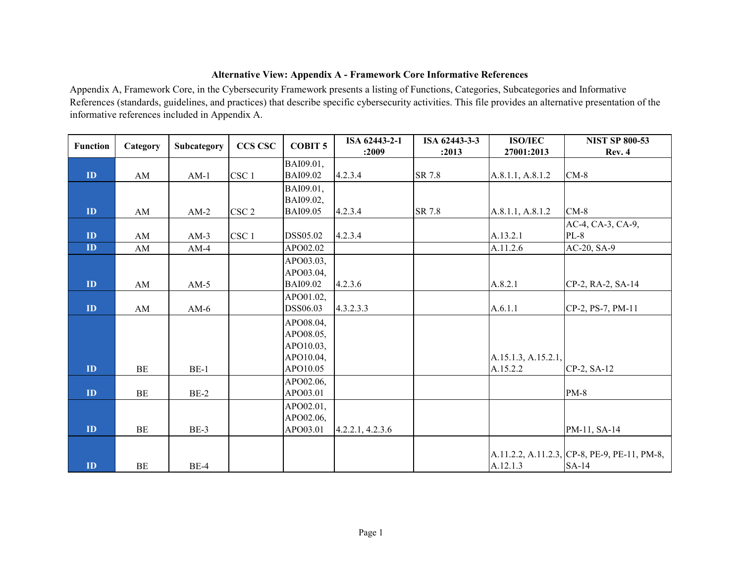## **Alternative View: Appendix A - Framework Core Informative References**

Appendix A, Framework Core, in the Cybersecurity Framework presents a listing of Functions, Categories, Subcategories and Informative References (standards, guidelines, and practices) that describe specific cybersecurity activities. This file provides an alternative presentation of the informative references included in Appendix A.

| <b>Function</b> | Category | Subcategory | <b>CCS CSC</b>   | <b>COBIT 5</b>  | ISA 62443-2-1    | ISA 62443-3-3 | <b>ISO/IEC</b>      | <b>NIST SP 800-53</b>                        |
|-----------------|----------|-------------|------------------|-----------------|------------------|---------------|---------------------|----------------------------------------------|
|                 |          |             |                  |                 | :2009            | :2013         | 27001:2013          | Rev. 4                                       |
|                 |          |             |                  | BAI09.01,       |                  |               |                     |                                              |
| ID              | AM       | $AM-1$      | CSC <sub>1</sub> | <b>BAI09.02</b> | 4.2.3.4          | SR 7.8        | A.8.1.1, A.8.1.2    | $CM-8$                                       |
|                 |          |             |                  | BAI09.01,       |                  |               |                     |                                              |
|                 |          |             |                  | BAI09.02,       |                  |               |                     |                                              |
| ID              | AM       | $AM-2$      | CSC <sub>2</sub> | <b>BAI09.05</b> | 4.2.3.4          | SR 7.8        | A.8.1.1, A.8.1.2    | $CM-8$                                       |
|                 |          |             |                  |                 |                  |               |                     | AC-4, CA-3, CA-9,                            |
| ID              | AM       | $AM-3$      | CSC <sub>1</sub> | DSS05.02        | 4.2.3.4          |               | A.13.2.1            | $PL-8$                                       |
| ID              | AM       | $AM-4$      |                  | APO02.02        |                  |               | A.11.2.6            | AC-20, SA-9                                  |
|                 |          |             |                  | APO03.03,       |                  |               |                     |                                              |
|                 |          |             |                  | APO03.04,       |                  |               |                     |                                              |
| ID              | AM       | $AM-5$      |                  | <b>BAI09.02</b> | 4.2.3.6          |               | A.8.2.1             | CP-2, RA-2, SA-14                            |
|                 |          |             |                  | APO01.02,       |                  |               |                     |                                              |
| ID              | AM       | AM- $6$     |                  | DSS06.03        | 4.3.2.3.3        |               | A.6.1.1             | CP-2, PS-7, PM-11                            |
|                 |          |             |                  | APO08.04,       |                  |               |                     |                                              |
|                 |          |             |                  | APO08.05,       |                  |               |                     |                                              |
|                 |          |             |                  | APO10.03,       |                  |               |                     |                                              |
|                 |          |             |                  | APO10.04,       |                  |               | A.15.1.3, A.15.2.1, |                                              |
| ID              | BE       | $BE-1$      |                  | APO10.05        |                  |               | A.15.2.2            | CP-2, SA-12                                  |
|                 |          |             |                  | APO02.06,       |                  |               |                     |                                              |
| ID              | BE       | $BE-2$      |                  | APO03.01        |                  |               |                     | $PM-8$                                       |
|                 |          |             |                  | APO02.01,       |                  |               |                     |                                              |
|                 |          |             |                  | APO02.06,       |                  |               |                     |                                              |
| ID              | BE       | $BE-3$      |                  | APO03.01        | 4.2.2.1, 4.2.3.6 |               |                     | PM-11, SA-14                                 |
|                 |          |             |                  |                 |                  |               |                     |                                              |
|                 |          |             |                  |                 |                  |               |                     | A.11.2.2, A.11.2.3, CP-8, PE-9, PE-11, PM-8, |
| ID              | BE       | $BE-4$      |                  |                 |                  |               | A.12.1.3            | SA-14                                        |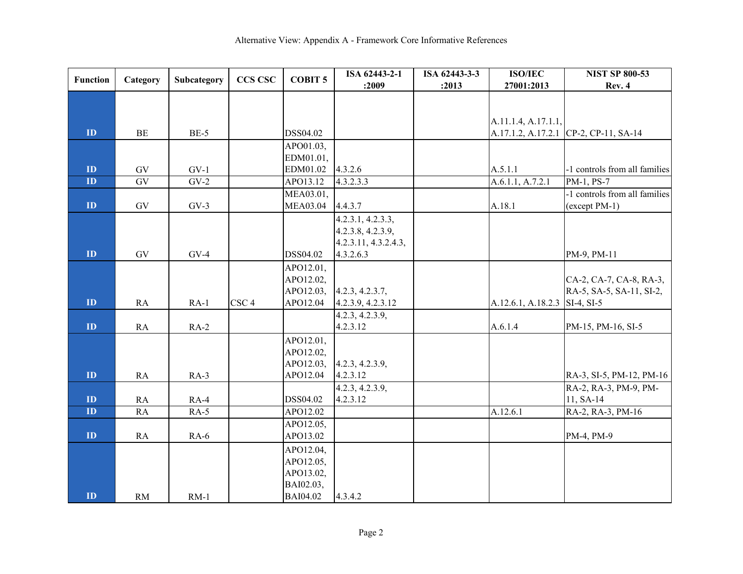| <b>Function</b>         | Category        | Subcategory | <b>CCS CSC</b>   | <b>COBIT 5</b>  | ISA 62443-2-1        | ISA 62443-3-3 | <b>ISO/IEC</b>                | <b>NIST SP 800-53</b>                 |
|-------------------------|-----------------|-------------|------------------|-----------------|----------------------|---------------|-------------------------------|---------------------------------------|
|                         |                 |             |                  |                 | :2009                | :2013         | 27001:2013                    | Rev. 4                                |
|                         |                 |             |                  |                 |                      |               |                               |                                       |
|                         |                 |             |                  |                 |                      |               |                               |                                       |
|                         |                 |             |                  |                 |                      |               | A.11.1.4, A.17.1.1,           |                                       |
| ID                      | BE              | $BE-5$      |                  | DSS04.02        |                      |               |                               | A.17.1.2, A.17.2.1 CP-2, CP-11, SA-14 |
|                         |                 |             |                  | APO01.03,       |                      |               |                               |                                       |
|                         |                 |             |                  | EDM01.01,       |                      |               |                               |                                       |
| $\mathbf{ID}$           | GV              | $GV-1$      |                  | EDM01.02        | 4.3.2.6              |               | A.5.1.1                       | -1 controls from all families         |
| $\overline{\mathbf{D}}$ | $\overline{GV}$ | $GV-2$      |                  | APO13.12        | 4.3.2.3.3            |               | A.6.1.1, A.7.2.1              | PM-1, PS-7                            |
|                         |                 |             |                  | MEA03.01,       |                      |               |                               | -1 controls from all families         |
| ID                      | ${\rm GV}$      | $GV-3$      |                  | <b>MEA03.04</b> | 4.4.3.7              |               | A.18.1                        | (except PM-1)                         |
|                         |                 |             |                  |                 | 4.2.3.1, 4.2.3.3,    |               |                               |                                       |
|                         |                 |             |                  |                 | 4.2.3.8, 4.2.3.9,    |               |                               |                                       |
|                         |                 |             |                  |                 | 4.2.3.11, 4.3.2.4.3, |               |                               |                                       |
| ID                      | GV              | $GV-4$      |                  | DSS04.02        | 4.3.2.6.3            |               |                               | PM-9, PM-11                           |
|                         |                 |             |                  | APO12.01,       |                      |               |                               |                                       |
|                         |                 |             |                  | APO12.02,       |                      |               |                               | CA-2, CA-7, CA-8, RA-3,               |
|                         |                 |             |                  | APO12.03,       | 4.2.3, 4.2.3.7,      |               |                               | RA-5, SA-5, SA-11, SI-2,              |
| ID                      | RA              | $RA-1$      | CSC <sub>4</sub> | APO12.04        | 4.2.3.9, 4.2.3.12    |               | A.12.6.1, A.18.2.3 SI-4, SI-5 |                                       |
|                         |                 |             |                  |                 | 4.2.3, 4.2.3.9,      |               |                               |                                       |
| $\mathbf{ID}$           | RA              | $RA-2$      |                  |                 | 4.2.3.12             |               | A.6.1.4                       | PM-15, PM-16, SI-5                    |
|                         |                 |             |                  | APO12.01,       |                      |               |                               |                                       |
|                         |                 |             |                  | APO12.02,       |                      |               |                               |                                       |
|                         |                 |             |                  | APO12.03,       | 4.2.3, 4.2.3.9,      |               |                               |                                       |
| ID                      | RA              | $RA-3$      |                  | APO12.04        | 4.2.3.12             |               |                               | RA-3, SI-5, PM-12, PM-16              |
|                         |                 |             |                  |                 | 4.2.3, 4.2.3.9,      |               |                               | RA-2, RA-3, PM-9, PM-                 |
| $\mathbf{ID}$           | RA              | $RA-4$      |                  | DSS04.02        | 4.2.3.12             |               |                               | 11, SA-14                             |
| $\mathbf{ID}$           | <b>RA</b>       | $RA-5$      |                  | APO12.02        |                      |               | A.12.6.1                      | RA-2, RA-3, PM-16                     |
|                         |                 |             |                  | APO12.05,       |                      |               |                               |                                       |
| ID                      | RA              | $RA-6$      |                  | APO13.02        |                      |               |                               | PM-4, PM-9                            |
|                         |                 |             |                  | APO12.04,       |                      |               |                               |                                       |
|                         |                 |             |                  | APO12.05,       |                      |               |                               |                                       |
|                         |                 |             |                  | APO13.02,       |                      |               |                               |                                       |
|                         |                 |             |                  | BAI02.03,       |                      |               |                               |                                       |
| ID                      | RM              | $RM-1$      |                  | <b>BAI04.02</b> | 4.3.4.2              |               |                               |                                       |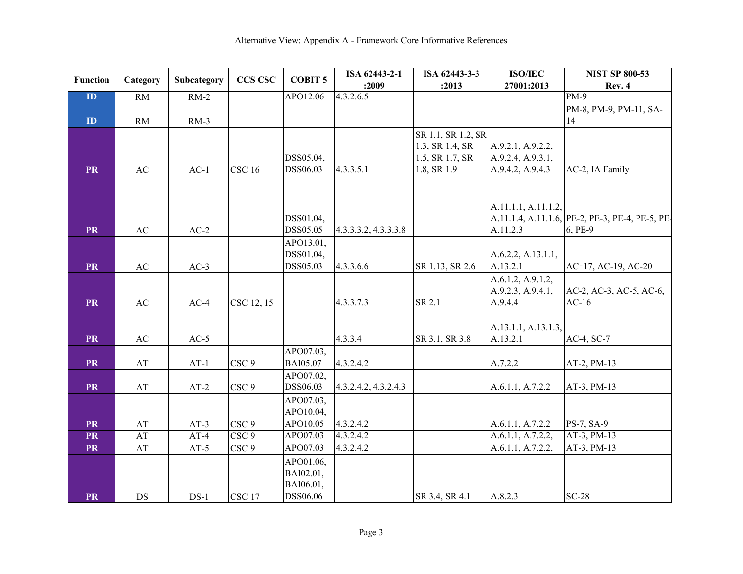| <b>Function</b>         | Category               | Subcategory | <b>CCS CSC</b>    | <b>COBIT 5</b>               | ISA 62443-2-1        | ISA 62443-3-3      | <b>ISO/IEC</b>      | <b>NIST SP 800-53</b>                           |
|-------------------------|------------------------|-------------|-------------------|------------------------------|----------------------|--------------------|---------------------|-------------------------------------------------|
|                         |                        |             |                   |                              | :2009                | :2013              | 27001:2013          | Rev. 4                                          |
| $\overline{\mathbf{D}}$ | RM                     | $RM-2$      |                   | APO12.06                     | 4.3.2.6.5            |                    |                     | $PM-9$                                          |
|                         |                        |             |                   |                              |                      |                    |                     | PM-8, PM-9, PM-11, SA-                          |
| ${\bf ID}$              | RM                     | $RM-3$      |                   |                              |                      |                    |                     | 14                                              |
|                         |                        |             |                   |                              |                      | SR 1.1, SR 1.2, SR |                     |                                                 |
|                         |                        |             |                   |                              |                      | 1.3, SR 1.4, SR    | A.9.2.1, A.9.2.2,   |                                                 |
|                         |                        |             |                   | DSS05.04,                    |                      | 1.5, SR 1.7, SR    | A.9.2.4, A.9.3.1,   |                                                 |
| <b>PR</b>               | AC                     | $AC-1$      | <b>CSC 16</b>     | DSS06.03                     | 4.3.3.5.1            | 1.8, SR 1.9        | A.9.4.2, A.9.4.3    | AC-2, IA Family                                 |
|                         |                        |             |                   |                              |                      |                    |                     |                                                 |
|                         |                        |             |                   |                              |                      |                    |                     |                                                 |
|                         |                        |             |                   |                              |                      |                    | A.11.1.1, A.11.1.2, |                                                 |
|                         |                        |             |                   | DSS01.04,                    |                      |                    |                     | A.11.1.4, A.11.1.6, PE-2, PE-3, PE-4, PE-5, PE- |
| <b>PR</b>               | AC                     | $AC-2$      |                   | DSS05.05                     | 4.3.3.3.2, 4.3.3.3.8 |                    | A.11.2.3            | 6, PE-9                                         |
|                         |                        |             |                   | APO13.01,                    |                      |                    |                     |                                                 |
|                         |                        |             |                   | DSS01.04,                    |                      |                    | A.6.2.2, A.13.1.1,  |                                                 |
| <b>PR</b>               | AC                     | $AC-3$      |                   | DSS05.03                     | 4.3.3.6.6            | SR 1.13, SR 2.6    | A.13.2.1            | AC-17, AC-19, AC-20                             |
|                         |                        |             |                   |                              |                      |                    | A.6.1.2, A.9.1.2,   |                                                 |
|                         |                        |             |                   |                              |                      |                    | A.9.2.3, A.9.4.1,   | AC-2, AC-3, AC-5, AC-6,                         |
| <b>PR</b>               | AC                     | $AC-4$      | CSC 12, 15        |                              | 4.3.3.7.3            | SR 2.1             | A.9.4.4             | $AC-16$                                         |
|                         |                        |             |                   |                              |                      |                    |                     |                                                 |
|                         |                        |             |                   |                              |                      |                    | A.13.1.1, A.13.1.3, |                                                 |
| <b>PR</b>               | AC                     | $AC-5$      |                   |                              | 4.3.3.4              | SR 3.1, SR 3.8     | A.13.2.1            | AC-4, SC-7                                      |
| <b>PR</b>               | AT                     | $AT-1$      | CSC <sub>9</sub>  | APO07.03,<br><b>BAI05.07</b> | 4.3.2.4.2            |                    | A.7.2.2             | AT-2, PM-13                                     |
|                         |                        |             |                   | APO07.02,                    |                      |                    |                     |                                                 |
| <b>PR</b>               | $\mathbf{A}\mathbf{T}$ | $AT-2$      | CSC <sub>9</sub>  | DSS06.03                     | 4.3.2.4.2, 4.3.2.4.3 |                    | A.6.1.1, A.7.2.2    | AT-3, PM-13                                     |
|                         |                        |             |                   | APO07.03,                    |                      |                    |                     |                                                 |
|                         |                        |             |                   | APO10.04,                    |                      |                    |                     |                                                 |
| <b>PR</b>               | AT                     | $AT-3$      | CSC <sub>9</sub>  | APO10.05                     | 4.3.2.4.2            |                    | A.6.1.1, A.7.2.2    | PS-7, SA-9                                      |
| <b>PR</b>               | AT                     | $AT-4$      | CSC <sub>9</sub>  | APO07.03                     | 4.3.2.4.2            |                    | A.6.1.1, A.7.2.2.   | AT-3, PM-13                                     |
| <b>PR</b>               | AT                     | $AT-5$      | CSC <sub>9</sub>  | APO07.03                     | 4.3.2.4.2            |                    | A.6.1.1, A.7.2.2.   | AT-3, PM-13                                     |
|                         |                        |             |                   | APO01.06,                    |                      |                    |                     |                                                 |
|                         |                        |             |                   | BAI02.01,                    |                      |                    |                     |                                                 |
|                         |                        |             |                   | BAI06.01,                    |                      |                    |                     |                                                 |
| <b>PR</b>               | DS                     | $DS-1$      | CSC <sub>17</sub> | DSS06.06                     |                      | SR 3.4, SR 4.1     | A.8.2.3             | $SC-28$                                         |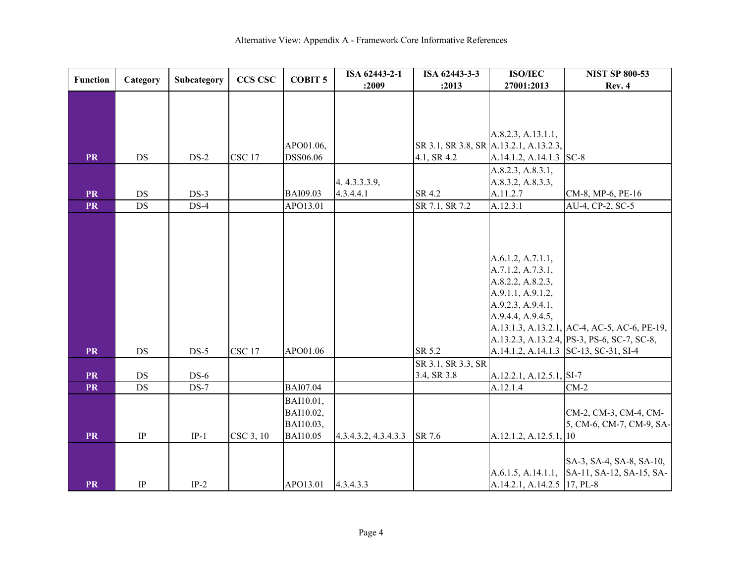| <b>Function</b>        | Category              | Subcategory      | <b>CCS CSC</b> | <b>COBIT 5</b>       | ISA 62443-2-1        | ISA 62443-3-3                          | <b>ISO/IEC</b>              | <b>NIST SP 800-53</b>                        |
|------------------------|-----------------------|------------------|----------------|----------------------|----------------------|----------------------------------------|-----------------------------|----------------------------------------------|
|                        |                       |                  |                |                      | :2009                | :2013                                  | 27001:2013                  | <b>Rev. 4</b>                                |
|                        |                       |                  |                |                      |                      |                                        |                             |                                              |
|                        |                       |                  |                |                      |                      |                                        |                             |                                              |
|                        |                       |                  |                |                      |                      |                                        |                             |                                              |
|                        |                       |                  |                |                      |                      |                                        | A.8.2.3, A.13.1.1,          |                                              |
|                        |                       |                  |                | APO01.06,            |                      | SR 3.1, SR 3.8, SR A.13.2.1, A.13.2.3, |                             |                                              |
| <b>PR</b>              | DS                    | $DS-2$           | <b>CSC 17</b>  | DSS06.06             |                      | 4.1, SR 4.2                            | A.14.1.2, A.14.1.3 SC-8     |                                              |
|                        |                       |                  |                |                      |                      |                                        | A.8.2.3, A.8.3.1,           |                                              |
|                        |                       |                  |                |                      | 4.4.3.3.3.9,         |                                        | A.8.3.2, A.8.3.3,           |                                              |
| <b>PR</b><br><b>PR</b> | DS<br>$\overline{DS}$ | $DS-3$<br>$DS-4$ |                | BAI09.03<br>APO13.01 | 4.3.4.4.1            | SR 4.2<br>SR 7.1, SR 7.2               | A.11.2.7<br>A.12.3.1        | CM-8, MP-6, PE-16                            |
|                        |                       |                  |                |                      |                      |                                        |                             | AU-4, CP-2, SC-5                             |
|                        |                       |                  |                |                      |                      |                                        |                             |                                              |
|                        |                       |                  |                |                      |                      |                                        |                             |                                              |
|                        |                       |                  |                |                      |                      |                                        |                             |                                              |
|                        |                       |                  |                |                      |                      |                                        | A.6.1.2, A.7.1.1,           |                                              |
|                        |                       |                  |                |                      |                      |                                        | A.7.1.2, A.7.3.1,           |                                              |
|                        |                       |                  |                |                      |                      |                                        | A.8.2.2, A.8.2.3,           |                                              |
|                        |                       |                  |                |                      |                      |                                        | A.9.1.1, A.9.1.2,           |                                              |
|                        |                       |                  |                |                      |                      |                                        | A.9.2.3, A.9.4.1,           |                                              |
|                        |                       |                  |                |                      |                      |                                        | A.9.4.4, A.9.4.5,           | A.13.1.3, A.13.2.1, AC-4, AC-5, AC-6, PE-19, |
|                        |                       |                  |                |                      |                      |                                        |                             | A.13.2.3, A.13.2.4, PS-3, PS-6, SC-7, SC-8,  |
| <b>PR</b>              | DS                    | $DS-5$           | <b>CSC 17</b>  | APO01.06             |                      | SR 5.2                                 |                             | A.14.1.2, A.14.1.3 SC-13, SC-31, SI-4        |
|                        |                       |                  |                |                      |                      | SR 3.1, SR 3.3, SR                     |                             |                                              |
| <b>PR</b>              | DS                    | $DS-6$           |                |                      |                      | 3.4, SR 3.8                            | A.12.2.1, A.12.5.1, SI-7    |                                              |
| <b>PR</b>              | $DS$                  | $DS-7$           |                | <b>BAI07.04</b>      |                      |                                        | A.12.1.4                    | $CM-2$                                       |
|                        |                       |                  |                | BAI10.01,            |                      |                                        |                             |                                              |
|                        |                       |                  |                | BAI10.02,            |                      |                                        |                             | CM-2, CM-3, CM-4, CM-                        |
|                        |                       |                  |                | BAI10.03,            |                      |                                        |                             | 5, CM-6, CM-7, CM-9, SA-                     |
| <b>PR</b>              | $\rm IP$              | $IP-1$           | CSC 3, 10      | <b>BAI10.05</b>      | 4.3.4.3.2, 4.3.4.3.3 | SR 7.6                                 | A.12.1.2, A.12.5.1, 10      |                                              |
|                        |                       |                  |                |                      |                      |                                        |                             |                                              |
|                        |                       |                  |                |                      |                      |                                        |                             | SA-3, SA-4, SA-8, SA-10,                     |
|                        |                       |                  |                |                      |                      |                                        |                             | A.6.1.5, A.14.1.1, SA-11, SA-12, SA-15, SA-  |
| <b>PR</b>              | $\rm IP$              | $IP-2$           |                | APO13.01             | 4.3.4.3.3            |                                        | A.14.2.1, A.14.2.5 17, PL-8 |                                              |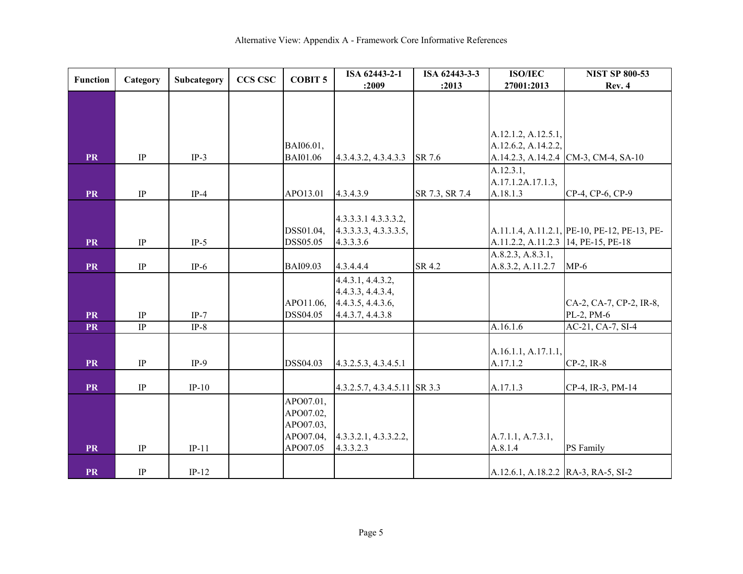| <b>Function</b> | Category | Subcategory | <b>CCS CSC</b> | <b>COBIT 5</b>  | ISA 62443-2-1                         | ISA 62443-3-3  | <b>ISO/IEC</b>                      | <b>NIST SP 800-53</b>                        |
|-----------------|----------|-------------|----------------|-----------------|---------------------------------------|----------------|-------------------------------------|----------------------------------------------|
|                 |          |             |                |                 | :2009                                 | :2013          | 27001:2013                          | Rev. 4                                       |
|                 |          |             |                |                 |                                       |                |                                     |                                              |
|                 |          |             |                |                 |                                       |                |                                     |                                              |
|                 |          |             |                |                 |                                       |                |                                     |                                              |
|                 |          |             |                |                 |                                       |                | A.12.1.2, A.12.5.1,                 |                                              |
|                 |          |             |                | BAI06.01,       |                                       |                | A.12.6.2, A.14.2.2,                 |                                              |
| <b>PR</b>       | $\rm IP$ | $IP-3$      |                | <b>BAI01.06</b> | 4.3.4.3.2, 4.3.4.3.3                  | SR 7.6         |                                     | A.14.2.3, A.14.2.4 CM-3, CM-4, SA-10         |
|                 |          |             |                |                 |                                       |                | A.12.3.1,                           |                                              |
|                 |          |             |                |                 |                                       |                | A.17.1.2A.17.1.3,                   |                                              |
| <b>PR</b>       | $\rm IP$ | $IP-4$      |                | APO13.01        | 4.3.4.3.9                             | SR 7.3, SR 7.4 | A.18.1.3                            | CP-4, CP-6, CP-9                             |
|                 |          |             |                |                 |                                       |                |                                     |                                              |
|                 |          |             |                |                 | 4.3.3.3.1 4.3.3.3.2,                  |                |                                     |                                              |
|                 |          |             |                | DSS01.04,       | 4.3.3.3.3, 4.3.3.3.5,                 |                |                                     | A.11.1.4, A.11.2.1, PE-10, PE-12, PE-13, PE- |
| <b>PR</b>       | $\rm IP$ | $IP-5$      |                | DSS05.05        | 4.3.3.3.6                             |                | A.11.2.2, A.11.2.3 14, PE-15, PE-18 |                                              |
|                 |          |             |                |                 |                                       |                | A.8.2.3, A.8.3.1,                   |                                              |
| <b>PR</b>       | $\rm IP$ | $IP-6$      |                | <b>BAI09.03</b> | 4.3.4.4.4                             | SR 4.2         | A.8.3.2, A.11.2.7                   | $MP-6$                                       |
|                 |          |             |                |                 | 4.4.3.1, 4.4.3.2,                     |                |                                     |                                              |
|                 |          |             |                | APO11.06,       | 4.4.3.3, 4.4.3.4,                     |                |                                     |                                              |
| <b>PR</b>       | $\rm IP$ | $IP-7$      |                | DSS04.05        | 4.4.3.5, 4.4.3.6,<br>4.4.3.7, 4.4.3.8 |                |                                     | CA-2, CA-7, CP-2, IR-8,<br>PL-2, PM-6        |
| <b>PR</b>       | IP       | $IP-8$      |                |                 |                                       |                | A.16.1.6                            | AC-21, CA-7, SI-4                            |
|                 |          |             |                |                 |                                       |                |                                     |                                              |
|                 |          |             |                |                 |                                       |                | A.16.1.1, A.17.1.1,                 |                                              |
| <b>PR</b>       | $\rm IP$ | $IP-9$      |                | DSS04.03        | 4.3.2.5.3, 4.3.4.5.1                  |                | A.17.1.2                            | $CP-2$ , IR-8                                |
|                 |          |             |                |                 |                                       |                |                                     |                                              |
| <b>PR</b>       | $\rm IP$ | $IP-10$     |                |                 | 4.3.2.5.7, 4.3.4.5.11 SR 3.3          |                | A.17.1.3                            | CP-4, IR-3, PM-14                            |
|                 |          |             |                | APO07.01,       |                                       |                |                                     |                                              |
|                 |          |             |                | APO07.02,       |                                       |                |                                     |                                              |
|                 |          |             |                | APO07.03,       |                                       |                |                                     |                                              |
|                 |          |             |                | APO07.04,       | 4.3.3.2.1, 4.3.3.2.2,                 |                | A.7.1.1, A.7.3.1,                   |                                              |
| <b>PR</b>       | $\rm IP$ | $IP-11$     |                | APO07.05        | 4.3.3.2.3                             |                | A.8.1.4                             | PS Family                                    |
|                 |          |             |                |                 |                                       |                |                                     |                                              |
| <b>PR</b>       | $\rm IP$ | $IP-12$     |                |                 |                                       |                | A.12.6.1, A.18.2.2 RA-3, RA-5, SI-2 |                                              |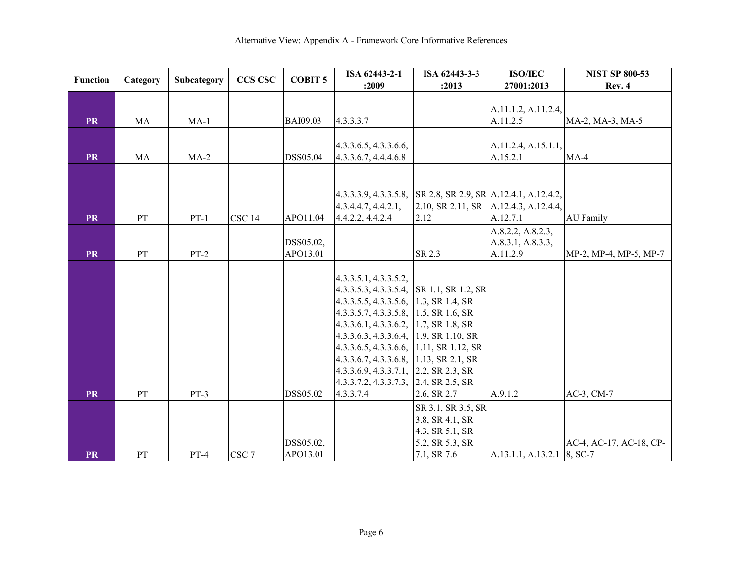| <b>Function</b> | Category      | Subcategory | <b>CCS CSC</b>    | <b>COBIT 5</b>        | ISA 62443-2-1                                                  | ISA 62443-3-3                         | <b>ISO/IEC</b>             | <b>NIST SP 800-53</b>   |
|-----------------|---------------|-------------|-------------------|-----------------------|----------------------------------------------------------------|---------------------------------------|----------------------------|-------------------------|
|                 |               |             |                   |                       | :2009                                                          | :2013                                 | 27001:2013                 | Rev. 4                  |
|                 |               |             |                   |                       |                                                                |                                       | A.11.1.2, A.11.2.4,        |                         |
| <b>PR</b>       | MA            | $MA-1$      |                   | <b>BAI09.03</b>       | 4.3.3.3.7                                                      |                                       | A.11.2.5                   | MA-2, MA-3, MA-5        |
|                 |               |             |                   |                       |                                                                |                                       |                            |                         |
|                 |               |             |                   |                       | 4.3.3.6.5, 4.3.3.6.6,                                          |                                       | A.11.2.4, A.15.1.1,        |                         |
| <b>PR</b>       | MA            | $MA-2$      |                   | DSS05.04              | 4.3.3.6.7, 4.4.4.6.8                                           |                                       | A.15.2.1                   | $MA-4$                  |
|                 |               |             |                   |                       |                                                                |                                       |                            |                         |
|                 |               |             |                   |                       |                                                                |                                       |                            |                         |
|                 |               |             |                   |                       | $4.3.3.3.9, 4.3.3.5.8,$ SR 2.8, SR 2.9, SR A.12.4.1, A.12.4.2, |                                       |                            |                         |
|                 |               |             |                   |                       | 4.3.4.4.7, 4.4.2.1,                                            | 2.10, SR 2.11, SR A.12.4.3, A.12.4.4, |                            |                         |
| <b>PR</b>       | PT            | $PT-1$      | CSC <sub>14</sub> | APO11.04              | 4.4.2.2, 4.4.2.4                                               | 2.12                                  | A.12.7.1                   | <b>AU</b> Family        |
|                 |               |             |                   |                       |                                                                |                                       | A.8.2.2, A.8.2.3,          |                         |
|                 |               |             |                   | DSS05.02,             |                                                                |                                       | A.8.3.1, A.8.3.3,          |                         |
| <b>PR</b>       | $\mathbf{PT}$ | $PT-2$      |                   | APO13.01              |                                                                | SR 2.3                                | A.11.2.9                   | MP-2, MP-4, MP-5, MP-7  |
|                 |               |             |                   |                       |                                                                |                                       |                            |                         |
|                 |               |             |                   |                       | 4.3.3.5.1, 4.3.3.5.2,                                          |                                       |                            |                         |
|                 |               |             |                   |                       | 4.3.3.5.3, 4.3.3.5.4, SR 1.1, SR 1.2, SR                       |                                       |                            |                         |
|                 |               |             |                   |                       | 4.3.3.5.5, 4.3.3.5.6, 1.3, SR 1.4, SR                          |                                       |                            |                         |
|                 |               |             |                   |                       | 4.3.3.5.7, 4.3.3.5.8, 1.5, SR 1.6, SR                          |                                       |                            |                         |
|                 |               |             |                   |                       | 4.3.3.6.1, 4.3.3.6.2, 1.7, SR 1.8, SR                          |                                       |                            |                         |
|                 |               |             |                   |                       | 4.3.3.6.3, 4.3.3.6.4, 1.9, SR 1.10, SR                         |                                       |                            |                         |
|                 |               |             |                   |                       | 4.3.3.6.5, 4.3.3.6.6, 1.11, SR 1.12, SR                        |                                       |                            |                         |
|                 |               |             |                   |                       | 4.3.3.6.7, 4.3.3.6.8, 1.13, SR 2.1, SR                         |                                       |                            |                         |
|                 |               |             |                   |                       | 4.3.3.6.9, 4.3.3.7.1, 2.2, SR 2.3, SR                          |                                       |                            |                         |
|                 |               |             |                   |                       | $4.3.3.7.2$ , $4.3.3.7.3$ , $2.4$ , SR 2.5, SR                 |                                       |                            |                         |
| <b>PR</b>       | PT            | $PT-3$      |                   | DSS05.02              | 4.3.3.7.4                                                      | 2.6, SR 2.7                           | A.9.1.2                    | AC-3, CM-7              |
|                 |               |             |                   |                       |                                                                | SR 3.1, SR 3.5, SR                    |                            |                         |
|                 |               |             |                   |                       |                                                                | 3.8, SR 4.1, SR                       |                            |                         |
|                 |               |             |                   |                       |                                                                | 4.3, SR 5.1, SR                       |                            | AC-4, AC-17, AC-18, CP- |
| <b>PR</b>       | PT            | $PT-4$      | CSC <sub>7</sub>  | DSS05.02,<br>APO13.01 |                                                                | 5.2, SR 5.3, SR<br>7.1, SR 7.6        | A.13.1.1, A.13.2.1 8, SC-7 |                         |
|                 |               |             |                   |                       |                                                                |                                       |                            |                         |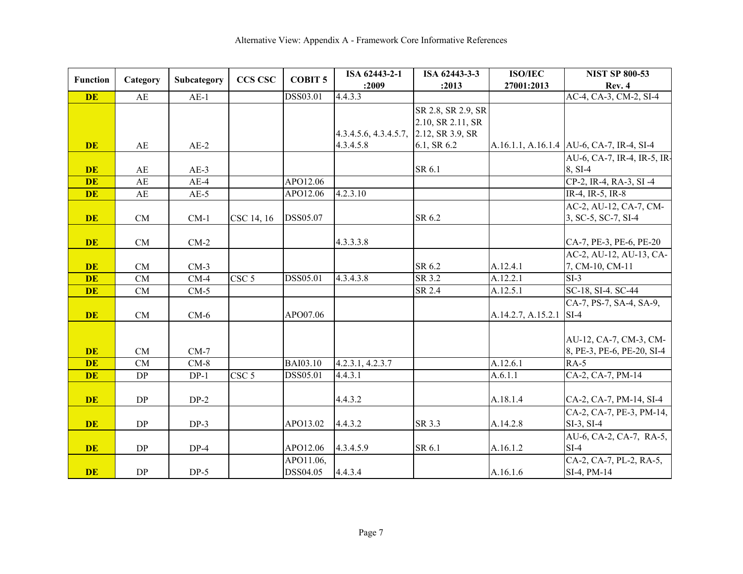| <b>Function</b> | Category | Subcategory | <b>CCS CSC</b>   | <b>COBIT 5</b>  | ISA 62443-2-1         | ISA 62443-3-3      | <b>ISO/IEC</b>     | <b>NIST SP 800-53</b>                     |
|-----------------|----------|-------------|------------------|-----------------|-----------------------|--------------------|--------------------|-------------------------------------------|
|                 |          |             |                  |                 | :2009                 | :2013              | 27001:2013         | Rev. 4                                    |
| <b>DE</b>       | AE       | $AE-1$      |                  | DSS03.01        | 4.4.3.3               |                    |                    | AC-4, CA-3, CM-2, SI-4                    |
|                 |          |             |                  |                 |                       | SR 2.8, SR 2.9, SR |                    |                                           |
|                 |          |             |                  |                 |                       | 2.10, SR 2.11, SR  |                    |                                           |
|                 |          |             |                  |                 | 4.3.4.5.6, 4.3.4.5.7, | 2.12, SR 3.9, SR   |                    |                                           |
| <b>DE</b>       | AE       | $AE-2$      |                  |                 | 4.3.4.5.8             | 6.1, SR 6.2        |                    | A.16.1.1, A.16.1.4 AU-6, CA-7, IR-4, SI-4 |
|                 |          |             |                  |                 |                       |                    |                    | AU-6, CA-7, IR-4, IR-5, IR-               |
| <b>DE</b>       | AE       | $AE-3$      |                  |                 |                       | SR 6.1             |                    | 8, SI-4                                   |
| <b>DE</b>       | AE       | $AE-4$      |                  | APO12.06        |                       |                    |                    | CP-2, IR-4, RA-3, SI-4                    |
| <b>DE</b>       | AE       | $AE-5$      |                  | APO12.06        | 4.2.3.10              |                    |                    | IR-4, IR-5, IR-8                          |
|                 |          |             |                  |                 |                       |                    |                    | AC-2, AU-12, CA-7, CM-                    |
| <b>DE</b>       | CM       | $CM-1$      | CSC 14, 16       | DSS05.07        |                       | SR 6.2             |                    | 3, SC-5, SC-7, SI-4                       |
|                 |          |             |                  |                 |                       |                    |                    |                                           |
| <b>DE</b>       | CM       | $CM-2$      |                  |                 | 4.3.3.3.8             |                    |                    | CA-7, PE-3, PE-6, PE-20                   |
|                 |          |             |                  |                 |                       |                    |                    | AC-2, AU-12, AU-13, CA-                   |
| <b>DE</b>       | CM       | $CM-3$      |                  |                 |                       | SR 6.2             | A.12.4.1           | 7, CM-10, CM-11                           |
| <b>DE</b>       | CM       | $CM-4$      | CSC <sub>5</sub> | DSS05.01        | 4.3.4.3.8             | SR 3.2             | A.12.2.1           | $SI-3$                                    |
| <b>DE</b>       | CM       | $CM-5$      |                  |                 |                       | SR 2.4             | A.12.5.1           | SC-18, SI-4. SC-44                        |
|                 |          |             |                  |                 |                       |                    |                    | CA-7, PS-7, SA-4, SA-9,                   |
| <b>DE</b>       | CM       | $CM-6$      |                  | APO07.06        |                       |                    | A.14.2.7, A.15.2.1 | $SI-4$                                    |
|                 |          |             |                  |                 |                       |                    |                    |                                           |
|                 |          |             |                  |                 |                       |                    |                    | AU-12, CA-7, CM-3, CM-                    |
| <b>DE</b>       | CM       | $CM-7$      |                  |                 |                       |                    |                    | 8, PE-3, PE-6, PE-20, SI-4                |
| <b>DE</b>       | CM       | $CM-8$      |                  | <b>BAI03.10</b> | 4.2.3.1, 4.2.3.7      |                    | A.12.6.1           | $RA-5$                                    |
| <b>DE</b>       | DP       | $DP-1$      | CSC <sub>5</sub> | DSS05.01        | 4.4.3.1               |                    | A.6.1.1            | CA-2, CA-7, PM-14                         |
|                 |          |             |                  |                 |                       |                    |                    |                                           |
| <b>DE</b>       | DP       | $DP-2$      |                  |                 | 4.4.3.2               |                    | A.18.1.4           | CA-2, CA-7, PM-14, SI-4                   |
|                 |          |             |                  |                 |                       |                    |                    | CA-2, CA-7, PE-3, PM-14,                  |
| <b>DE</b>       | DP       | $DP-3$      |                  | APO13.02        | 4.4.3.2               | SR 3.3             | A.14.2.8           | $SI-3$ , $SI-4$                           |
|                 |          |             |                  |                 |                       |                    |                    | AU-6, CA-2, CA-7, RA-5,                   |
| <b>DE</b>       | DP       | $DP-4$      |                  | APO12.06        | 4.3.4.5.9             | SR 6.1             | A.16.1.2           | $SI-4$                                    |
|                 |          |             |                  | APO11.06,       |                       |                    |                    | CA-2, CA-7, PL-2, RA-5,                   |
| <b>DE</b>       | DP       | $DP-5$      |                  | DSS04.05        | 4.4.3.4               |                    | A.16.1.6           | SI-4, PM-14                               |